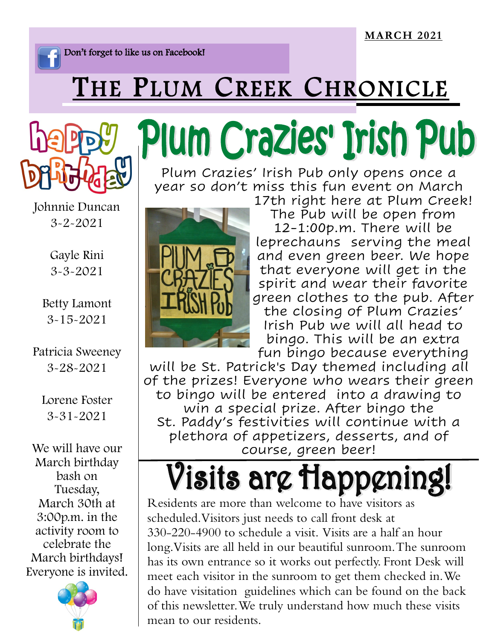Don't forget to like us on Facebook!

#### THE PLUM CREEK CHRONICLE



Johnnie Duncan 3-2-2021

> Gayle Rini 3-3-2021

Betty Lamont 3-15-2021

Patricia Sweeney 3-28-2021

Lorene Foster 3-31-2021

We will have our March birthday bash on Tuesday, March 30th at 3:00p.m. in the activity room to celebrate the March birthdays! Everyone is invited.



### Plum Crazies' Irish Pub

Plum Crazies' Irish Pub only opens once a year so don't miss this fun event on March



17th right here at Plum Creek! The Pub will be open from 12-1:00p.m. There will be leprechauns serving the meal and even green beer. We hope that everyone will get in the spirit and wear their favorite green clothes to the pub. After the closing of Plum Crazies' Irish Pub we will all head to bingo. This will be an extra

fun bingo because everything will be St. Patrick's Day themed including all of the prizes! Everyone who wears their green to bingo will be entered into a drawing to win a special prize. After bingo the St. Paddy's festivities will continue with a plethora of appetizers, desserts, and of course, green beer!

#### Visits arg Happgning!

Residents are more than welcome to have visitors as scheduled. Visitors just needs to call front desk at 330-220-4900 to schedule a visit. Visits are a half an hour long. Visits are all held in our beautiful sunroom. The sunroom has its own entrance so it works out perfectly. Front Desk will meet each visitor in the sunroom to get them checked in. We do have visitation guidelines which can be found on the back of this newsletter. We truly understand how much these visits mean to our residents.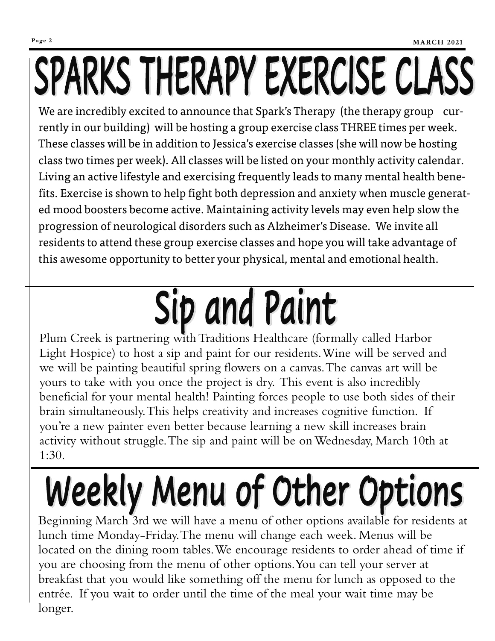## SPARKS THERAPY EXERCISE CLASS

We are incredibly excited to announce that Spark's Therapy (the therapy group currently in our building) will be hosting a group exercise class THREE times per week. These classes will be in addition to Jessica's exercise classes (she will now be hosting class two times per week). All classes will be listed on your monthly activity calendar. Living an active lifestyle and exercising frequently leads to many mental health benefits. Exercise is shown to help fight both depression and anxiety when muscle generated mood boosters become active. Maintaining activity levels may even help slow the progression of neurological disorders such as Alzheimer's Disease. We invite all residents to attend these group exercise classes and hope you will take advantage of this awesome opportunity to better your physical, mental and emotional health.

### Sip and Paint

Plum Creek is partnering with Traditions Healthcare (formally called Harbor Light Hospice) to host a sip and paint for our residents. Wine will be served and we will be painting beautiful spring flowers on a canvas. The canvas art will be yours to take with you once the project is dry. This event is also incredibly beneficial for your mental health! Painting forces people to use both sides of their brain simultaneously. This helps creativity and increases cognitive function. If you're a new painter even better because learning a new skill increases brain activity without struggle. The sip and paint will be on Wednesday, March 10th at 1:30.

#### Weekly Menu of Other Options

Beginning March 3rd we will have a menu of other options available for residents at lunch time Monday-Friday. The menu will change each week. Menus will be located on the dining room tables. We encourage residents to order ahead of time if you are choosing from the menu of other options. You can tell your server at breakfast that you would like something off the menu for lunch as opposed to the entrée. If you wait to order until the time of the meal your wait time may be longer.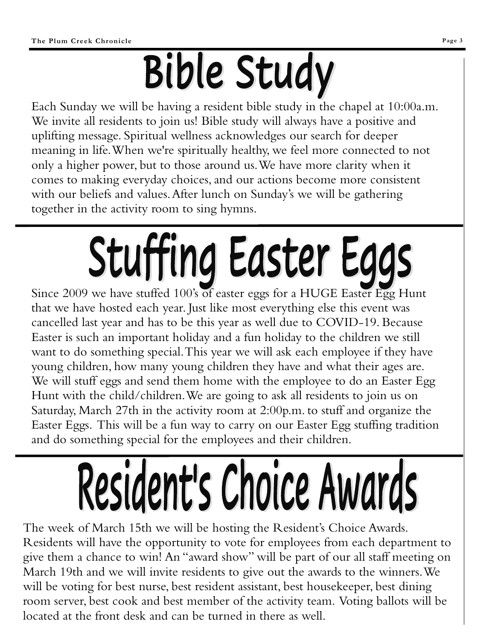### **Bible Study**

Each Sunday we will be having a resident bible study in the chapel at 10:00a.m. We invite all residents to join us! Bible study will always have a positive and uplifting message. Spiritual wellness acknowledges our search for deeper meaning in life. When we're spiritually healthy, we feel more connected to not only a higher power, but to those around us. We have more clarity when it comes to making everyday choices, and our actions become more consistent with our beliefs and values. After lunch on Sunday's we will be gathering together in the activity room to sing hymns.

# Stuffing Easter Eggs

Since 2009 we have stuffed 100's of easter eggs for a HUGE Easter Egg Hunt that we have hosted each year. Just like most everything else this event was cancelled last year and has to be this year as well due to COVID-19. Because Easter is such an important holiday and a fun holiday to the children we still want to do something special. This year we will ask each employee if they have young children, how many young children they have and what their ages are. We will stuff eggs and send them home with the employee to do an Easter Egg Hunt with the child/children. We are going to ask all residents to join us on Saturday, March 27th in the activity room at 2:00p.m. to stuff and organize the Easter Eggs. This will be a fun way to carry on our Easter Egg stuffing tradition and do something special for the employees and their children.

# Resident's Choice Awards

The week of March 15th we will be hosting the Resident's Choice Awards. Residents will have the opportunity to vote for employees from each department to give them a chance to win! An "award show" will be part of our all staff meeting on March 19th and we will invite residents to give out the awards to the winners. We will be voting for best nurse, best resident assistant, best housekeeper, best dining room server, best cook and best member of the activity team. Voting ballots will be located at the front desk and can be turned in there as well.